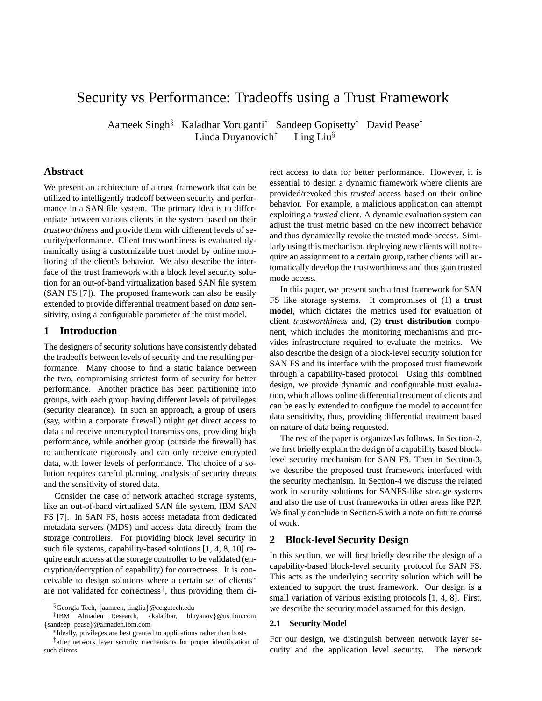# Security vs Performance: Tradeoffs using a Trust Framework

Aameek Singh*§* Kaladhar Voruganti*†* Sandeep Gopisetty*†* David Pease*†* Linda Duyanovich*†* Ling Liu*§*

# **Abstract**

We present an architecture of a trust framework that can be utilized to intelligently tradeoff between security and performance in a SAN file system. The primary idea is to differentiate between various clients in the system based on their *trustworthiness* and provide them with different levels of security/performance. Client trustworthiness is evaluated dynamically using a customizable trust model by online monitoring of the client's behavior. We also describe the interface of the trust framework with a block level security solution for an out-of-band virtualization based SAN file system (SAN FS [7]). The proposed framework can also be easily extended to provide differential treatment based on *data* sensitivity, using a configurable parameter of the trust model.

# **1 Introduction**

The designers of security solutions have consistently debated the tradeoffs between levels of security and the resulting performance. Many choose to find a static balance between the two, compromising strictest form of security for better performance. Another practice has been partitioning into groups, with each group having different levels of privileges (security clearance). In such an approach, a group of users (say, within a corporate firewall) might get direct access to data and receive unencrypted transmissions, providing high performance, while another group (outside the firewall) has to authenticate rigorously and can only receive encrypted data, with lower levels of performance. The choice of a solution requires careful planning, analysis of security threats and the sensitivity of stored data.

Consider the case of network attached storage systems, like an out-of-band virtualized SAN file system, IBM SAN FS [7]. In SAN FS, hosts access metadata from dedicated metadata servers (MDS) and access data directly from the storage controllers. For providing block level security in such file systems, capability-based solutions [1, 4, 8, 10] require each access at the storage controller to be validated (encryption/decryption of capability) for correctness. It is conceivable to design solutions where a certain set of clients<sup>∗</sup> are not validated for correctness<sup> $\ddagger$ </sup>, thus providing them direct access to data for better performance. However, it is essential to design a dynamic framework where clients are provided/revoked this *trusted* access based on their online behavior. For example, a malicious application can attempt exploiting a *trusted* client. A dynamic evaluation system can adjust the trust metric based on the new incorrect behavior and thus dynamically revoke the trusted mode access. Similarly using this mechanism, deploying new clients will not require an assignment to a certain group, rather clients will automatically develop the trustworthiness and thus gain trusted mode access.

In this paper, we present such a trust framework for SAN FS like storage systems. It compromises of (1) a **trust model**, which dictates the metrics used for evaluation of client *trustworthiness* and, (2) **trust distribution** component, which includes the monitoring mechanisms and provides infrastructure required to evaluate the metrics. We also describe the design of a block-level security solution for SAN FS and its interface with the proposed trust framework through a capability-based protocol. Using this combined design, we provide dynamic and configurable trust evaluation, which allows online differential treatment of clients and can be easily extended to configure the model to account for data sensitivity, thus, providing differential treatment based on nature of data being requested.

The rest of the paper is organized as follows. In Section-2, we first briefly explain the design of a capability based blocklevel security mechanism for SAN FS. Then in Section-3, we describe the proposed trust framework interfaced with the security mechanism. In Section-4 we discuss the related work in security solutions for SANFS-like storage systems and also the use of trust frameworks in other areas like P2P. We finally conclude in Section-5 with a note on future course of work.

# **2 Block-level Security Design**

In this section, we will first briefly describe the design of a capability-based block-level security protocol for SAN FS. This acts as the underlying security solution which will be extended to support the trust framework. Our design is a small variation of various existing protocols [1, 4, 8]. First, we describe the security model assumed for this design.

## **2.1 Security Model**

For our design, we distinguish between network layer security and the application level security. The network

<sup>§</sup>Georgia Tech, *{*aameek, lingliu*}*@cc.gatech.edu

<sup>†</sup>IBM Almaden Research, *{*kaladhar, lduyanov*}*@us.ibm.com,

<sup>&</sup>lt;sup>\*</sup>Ideally, privileges are best granted to applications rather than hosts

<sup>‡</sup>after network layer security mechanisms for proper identification of such clients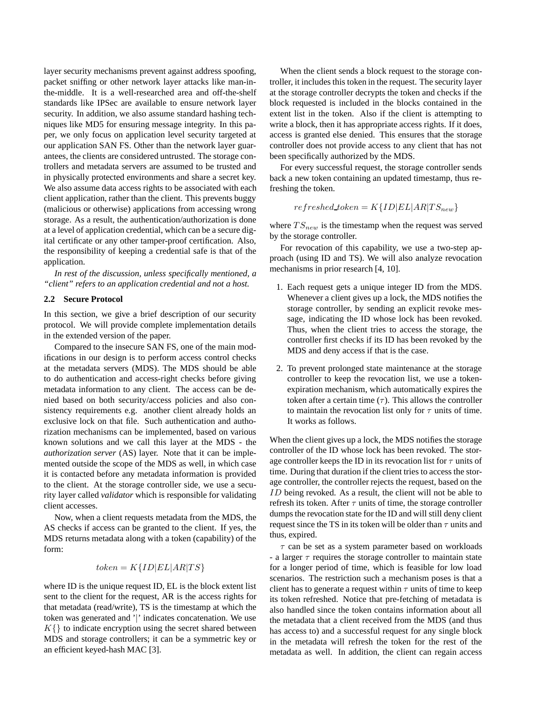layer security mechanisms prevent against address spoofing, packet sniffing or other network layer attacks like man-inthe-middle. It is a well-researched area and off-the-shelf standards like IPSec are available to ensure network layer security. In addition, we also assume standard hashing techniques like MD5 for ensuring message integrity. In this paper, we only focus on application level security targeted at our application SAN FS. Other than the network layer guarantees, the clients are considered untrusted. The storage controllers and metadata servers are assumed to be trusted and in physically protected environments and share a secret key. We also assume data access rights to be associated with each client application, rather than the client. This prevents buggy (malicious or otherwise) applications from accessing wrong storage. As a result, the authentication/authorization is done at a level of application credential, which can be a secure digital certificate or any other tamper-proof certification. Also, the responsibility of keeping a credential safe is that of the application.

*In rest of the discussion, unless specifically mentioned, a "client" refers to an application credential and not a host.*

## **2.2 Secure Protocol**

In this section, we give a brief description of our security protocol. We will provide complete implementation details in the extended version of the paper.

Compared to the insecure SAN FS, one of the main modifications in our design is to perform access control checks at the metadata servers (MDS). The MDS should be able to do authentication and access-right checks before giving metadata information to any client. The access can be denied based on both security/access policies and also consistency requirements e.g. another client already holds an exclusive lock on that file. Such authentication and authorization mechanisms can be implemented, based on various known solutions and we call this layer at the MDS - the *authorization server* (AS) layer. Note that it can be implemented outside the scope of the MDS as well, in which case it is contacted before any metadata information is provided to the client. At the storage controller side, we use a security layer called *validator* which is responsible for validating client accesses.

Now, when a client requests metadata from the MDS, the AS checks if access can be granted to the client. If yes, the MDS returns metadata along with a token (capability) of the form:

$$
token = K\{ID|EL|AR|TS\}
$$

where ID is the unique request ID, EL is the block extent list sent to the client for the request, AR is the access rights for that metadata (read/write), TS is the timestamp at which the token was generated and '|' indicates concatenation. We use  $K\{\}$  to indicate encryption using the secret shared between MDS and storage controllers; it can be a symmetric key or an efficient keyed-hash MAC [3].

When the client sends a block request to the storage controller, it includes this token in the request. The security layer at the storage controller decrypts the token and checks if the block requested is included in the blocks contained in the extent list in the token. Also if the client is attempting to write a block, then it has appropriate access rights. If it does, access is granted else denied. This ensures that the storage controller does not provide access to any client that has not been specifically authorized by the MDS.

For every successful request, the storage controller sends back a new token containing an updated timestamp, thus refreshing the token.

$$
refreshold\_token = K\{ID|EL|AR|TS_{new}\}
$$

where  $TS_{new}$  is the timestamp when the request was served by the storage controller.

For revocation of this capability, we use a two-step approach (using ID and TS). We will also analyze revocation mechanisms in prior research [4, 10].

- 1. Each request gets a unique integer ID from the MDS. Whenever a client gives up a lock, the MDS notifies the storage controller, by sending an explicit revoke message, indicating the ID whose lock has been revoked. Thus, when the client tries to access the storage, the controller first checks if its ID has been revoked by the MDS and deny access if that is the case.
- 2. To prevent prolonged state maintenance at the storage controller to keep the revocation list, we use a tokenexpiration mechanism, which automatically expires the token after a certain time  $(\tau)$ . This allows the controller to maintain the revocation list only for  $\tau$  units of time. It works as follows.

When the client gives up a lock, the MDS notifies the storage controller of the ID whose lock has been revoked. The storage controller keeps the ID in its revocation list for  $\tau$  units of time. During that duration if the client tries to access the storage controller, the controller rejects the request, based on the ID being revoked. As a result, the client will not be able to refresh its token. After  $\tau$  units of time, the storage controller dumps the revocation state for the ID and will still deny client request since the TS in its token will be older than  $\tau$  units and thus, expired.

 $\tau$  can be set as a system parameter based on workloads - a larger  $\tau$  requires the storage controller to maintain state for a longer period of time, which is feasible for low load scenarios. The restriction such a mechanism poses is that a client has to generate a request within  $\tau$  units of time to keep its token refreshed. Notice that pre-fetching of metadata is also handled since the token contains information about all the metadata that a client received from the MDS (and thus has access to) and a successful request for any single block in the metadata will refresh the token for the rest of the metadata as well. In addition, the client can regain access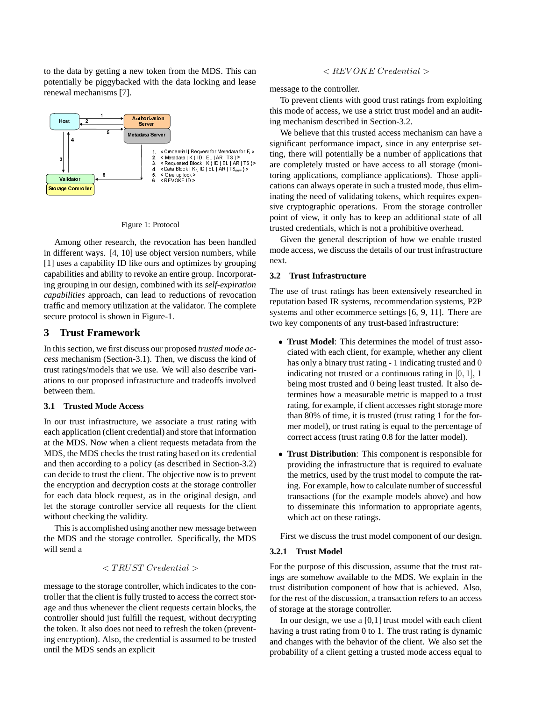to the data by getting a new token from the MDS. This can potentially be piggybacked with the data locking and lease renewal mechanisms [7].



#### Figure 1: Protocol

1. <Credential | Request for Metadata for F, ><br>2. <Metadata | Request for Metadata for F,<br>3. <Requested Block | K { ID | EL | AR | TS } ><br>5. <Requested Block | K { ID | EL | AR | TS } ><br>5. <Size up lock | K { ID | EL | AR 2.  $\leq$  Metadata | K { ID | EL | AR | TS } ><br>3.  $\leq$  Requested Block | K { ID | EL | AR | TS }<br>4.  $\leq$  Data Block | K { ID | EL | AR | TS }<br>5.  $\leq$  Give up lock ><br>6.  $\leq$  REVOKE ID ><br>6.  $\leq$  REVOKE ID ><br>7. The SEVOK 3. <Requested Block | K { ID | EL | AR | TS }><br>4. <Data Block | K { ID | EL | AR | TS }><br>5. < Give up lock ><br>5. <REVOKE ID ><br>6. <REVOKE ID ><br>6. <REVOKE ID ><br>7. <br>The constraint of the set of the set of the set of the set o 4. <br/>s Cata Block | K { ID | EL | AR | TS<sub>new</sub> } > 5. < Give up lock > 6. <<<br/>REVOKE ID > 0. <<br/>REVOKE ID > </a> </a>Protocol revocation has been handled bject version numbers, whis<br/>rs and optimizes by groupi 5. < Give up lock ><br>6. < Give up lock ><br>6. < REVOKE ID ><br>Dependent of the set of the set of the set of the set of the set of the set of the set of the validat<br>inter-1.<br>Durproposed Then was diversed the was diversed to the 6. «REVOKE ID ><br>Protocol<br>revocation h<br>bject version<br>rs and optim<br>e an entire g<br>abined with id to reduction<br>at the validat<br>qure-1.<br>pur proposed<br>Then, we di Among other research, the revocation has been handled in different ways. [4, 10] use object version numbers, while [1] uses a capability ID like ours and optimizes by grouping capabilities and ability to revoke an entire group. Incorporating grouping in our design, combined with its *self-expiration capabilities* approach, can lead to reductions of revocation traffic and memory utilization at the validator. The complete secure protocol is shown in Figure-1.

# **3 Trust Framework**

In this section, we first discuss our proposed *trusted mode access* mechanism (Section-3.1). Then, we discuss the kind of trust ratings/models that we use. We will also describe variations to our proposed infrastructure and tradeoffs involved between them.

## **3.1 Trusted Mode Access**

In our trust infrastructure, we associate a trust rating with each application (client credential) and store that information at the MDS. Now when a client requests metadata from the MDS, the MDS checks the trust rating based on its credential and then according to a policy (as described in Section-3.2) can decide to trust the client. The objective now is to prevent the encryption and decryption costs at the storage controller for each data block request, as in the original design, and let the storage controller service all requests for the client without checking the validity.

This is accomplished using another new message between the MDS and the storage controller. Specifically, the MDS will send a

$$

$$

message to the storage controller, which indicates to the controller that the client is fully trusted to access the correct storage and thus whenever the client requests certain blocks, the controller should just fulfill the request, without decrypting the token. It also does not need to refresh the token (preventing encryption). Also, the credential is assumed to be trusted until the MDS sends an explicit

## $\langle$  REVOKE Credential  $\rangle$

message to the controller.

To prevent clients with good trust ratings from exploiting this mode of access, we use a strict trust model and an auditing mechanism described in Section-3.2.

We believe that this trusted access mechanism can have a significant performance impact, since in any enterprise setting, there will potentially be a number of applications that are completely trusted or have access to all storage (monitoring applications, compliance applications). Those applications can always operate in such a trusted mode, thus eliminating the need of validating tokens, which requires expensive cryptographic operations. From the storage controller point of view, it only has to keep an additional state of all trusted credentials, which is not a prohibitive overhead.

Given the general description of how we enable trusted mode access, we discuss the details of our trust infrastructure next.

#### **3.2 Trust Infrastructure**

The use of trust ratings has been extensively researched in reputation based IR systems, recommendation systems, P2P systems and other ecommerce settings [6, 9, 11]. There are two key components of any trust-based infrastructure:

- **Trust Model**: This determines the model of trust associated with each client, for example, whether any client has only a binary trust rating - 1 indicating trusted and 0 indicating not trusted or a continuous rating in [0, 1], 1 being most trusted and 0 being least trusted. It also determines how a measurable metric is mapped to a trust rating, for example, if client accesses right storage more than 80% of time, it is trusted (trust rating 1 for the former model), or trust rating is equal to the percentage of correct access (trust rating 0.8 for the latter model).
- **Trust Distribution**: This component is responsible for providing the infrastructure that is required to evaluate the metrics, used by the trust model to compute the rating. For example, how to calculate number of successful transactions (for the example models above) and how to disseminate this information to appropriate agents, which act on these ratings.

First we discuss the trust model component of our design.

#### **3.2.1 Trust Model**

For the purpose of this discussion, assume that the trust ratings are somehow available to the MDS. We explain in the trust distribution component of how that is achieved. Also, for the rest of the discussion, a transaction refers to an access of storage at the storage controller.

In our design, we use a [0,1] trust model with each client having a trust rating from 0 to 1. The trust rating is dynamic and changes with the behavior of the client. We also set the probability of a client getting a trusted mode access equal to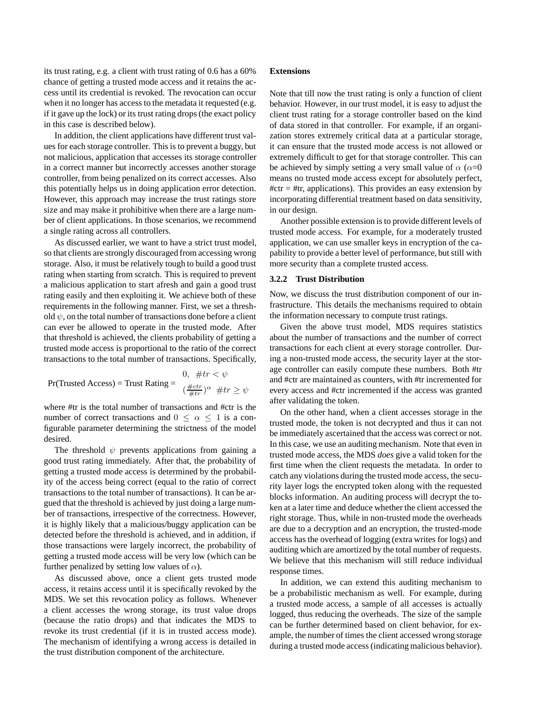its trust rating, e.g. a client with trust rating of 0.6 has a 60% chance of getting a trusted mode access and it retains the access until its credential is revoked. The revocation can occur when it no longer has access to the metadata it requested (e.g. if it gave up the lock) or its trust rating drops (the exact policy in this case is described below).

In addition, the client applications have different trust values for each storage controller. This is to prevent a buggy, but not malicious, application that accesses its storage controller in a correct manner but incorrectly accesses another storage controller, from being penalized on its correct accesses. Also this potentially helps us in doing application error detection. However, this approach may increase the trust ratings store size and may make it prohibitive when there are a large number of client applications. In those scenarios, we recommend a single rating across all controllers.

As discussed earlier, we want to have a strict trust model, so that clients are strongly discouraged from accessing wrong storage. Also, it must be relatively tough to build a good trust rating when starting from scratch. This is required to prevent a malicious application to start afresh and gain a good trust rating easily and then exploiting it. We achieve both of these requirements in the following manner. First, we set a threshold  $\psi$ , on the total number of transactions done before a client can ever be allowed to operate in the trusted mode. After that threshold is achieved, the clients probability of getting a trusted mode access is proportional to the ratio of the correct transactions to the total number of transactions. Specifically,

$$
Pr(Trusted Access) = Trust Rating = \frac{0, \#tr < \psi}{(\frac{\#ctr}{\#tr})^{\alpha}} \#tr \ge \psi
$$

where #tr is the total number of transactions and #ctr is the number of correct transactions and  $0 \leq \alpha \leq 1$  is a configurable parameter determining the strictness of the model desired.

The threshold  $\psi$  prevents applications from gaining a good trust rating immediately. After that, the probability of getting a trusted mode access is determined by the probability of the access being correct (equal to the ratio of correct transactions to the total number of transactions). It can be argued that the threshold is achieved by just doing a large number of transactions, irrespective of the correctness. However, it is highly likely that a malicious/buggy application can be detected before the threshold is achieved, and in addition, if those transactions were largely incorrect, the probability of getting a trusted mode access will be very low (which can be further penalized by setting low values of  $\alpha$ ).

As discussed above, once a client gets trusted mode access, it retains access until it is specifically revoked by the MDS. We set this revocation policy as follows. Whenever a client accesses the wrong storage, its trust value drops (because the ratio drops) and that indicates the MDS to revoke its trust credential (if it is in trusted access mode). The mechanism of identifying a wrong access is detailed in the trust distribution component of the architecture.

#### **Extensions**

Note that till now the trust rating is only a function of client behavior. However, in our trust model, it is easy to adjust the client trust rating for a storage controller based on the kind of data stored in that controller. For example, if an organization stores extremely critical data at a particular storage, it can ensure that the trusted mode access is not allowed or extremely difficult to get for that storage controller. This can be achieved by simply setting a very small value of  $\alpha$  ( $\alpha=0$ ) means no trusted mode access except for absolutely perfect,  $\#ctr = \#tr$ , applications). This provides an easy extension by incorporating differential treatment based on data sensitivity, in our design.

Another possible extension is to provide different levels of trusted mode access. For example, for a moderately trusted application, we can use smaller keys in encryption of the capability to provide a better level of performance, but still with more security than a complete trusted access.

## **3.2.2 Trust Distribution**

Now, we discuss the trust distribution component of our infrastructure. This details the mechanisms required to obtain the information necessary to compute trust ratings.

Given the above trust model, MDS requires statistics about the number of transactions and the number of correct transactions for each client at every storage controller. During a non-trusted mode access, the security layer at the storage controller can easily compute these numbers. Both #tr and #ctr are maintained as counters, with #tr incremented for every access and #ctr incremented if the access was granted after validating the token.

On the other hand, when a client accesses storage in the trusted mode, the token is not decrypted and thus it can not be immediately ascertained that the access was correct or not. In this case, we use an auditing mechanism. Note that even in trusted mode access, the MDS *does* give a valid token for the first time when the client requests the metadata. In order to catch any violations during the trusted mode access, the security layer logs the encrypted token along with the requested blocks information. An auditing process will decrypt the token at a later time and deduce whether the client accessed the right storage. Thus, while in non-trusted mode the overheads are due to a decryption and an encryption, the trusted-mode access has the overhead of logging (extra writes for logs) and auditing which are amortized by the total number of requests. We believe that this mechanism will still reduce individual response times.

In addition, we can extend this auditing mechanism to be a probabilistic mechanism as well. For example, during a trusted mode access, a sample of all accesses is actually logged, thus reducing the overheads. The size of the sample can be further determined based on client behavior, for example, the number of times the client accessed wrong storage during a trusted mode access (indicating malicious behavior).